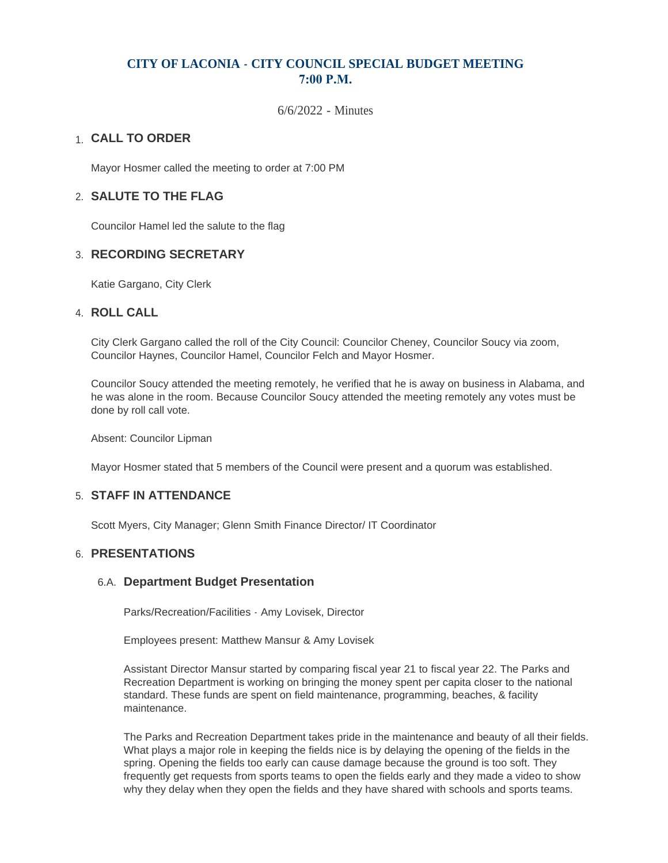# **CITY OF LACONIA - CITY COUNCIL SPECIAL BUDGET MEETING 7:00 P.M.**

6/6/2022 - Minutes

# **CALL TO ORDER**  1.

Mayor Hosmer called the meeting to order at 7:00 PM

## **SALUTE TO THE FLAG** 2.

Councilor Hamel led the salute to the flag

## **RECORDING SECRETARY** 3.

Katie Gargano, City Clerk

### **ROLL CALL** 4.

City Clerk Gargano called the roll of the City Council: Councilor Cheney, Councilor Soucy via zoom, Councilor Haynes, Councilor Hamel, Councilor Felch and Mayor Hosmer.

Councilor Soucy attended the meeting remotely, he verified that he is away on business in Alabama, and he was alone in the room. Because Councilor Soucy attended the meeting remotely any votes must be done by roll call vote.

Absent: Councilor Lipman

Mayor Hosmer stated that 5 members of the Council were present and a quorum was established.

#### **STAFF IN ATTENDANCE** 5.

Scott Myers, City Manager; Glenn Smith Finance Director/ IT Coordinator

### **PRESENTATIONS** 6.

#### **Department Budget Presentation** 6.A.

Parks/Recreation/Facilities - Amy Lovisek, Director

Employees present: Matthew Mansur & Amy Lovisek

Assistant Director Mansur started by comparing fiscal year 21 to fiscal year 22. The Parks and Recreation Department is working on bringing the money spent per capita closer to the national standard. These funds are spent on field maintenance, programming, beaches, & facility maintenance.

The Parks and Recreation Department takes pride in the maintenance and beauty of all their fields. What plays a major role in keeping the fields nice is by delaying the opening of the fields in the spring. Opening the fields too early can cause damage because the ground is too soft. They frequently get requests from sports teams to open the fields early and they made a video to show why they delay when they open the fields and they have shared with schools and sports teams.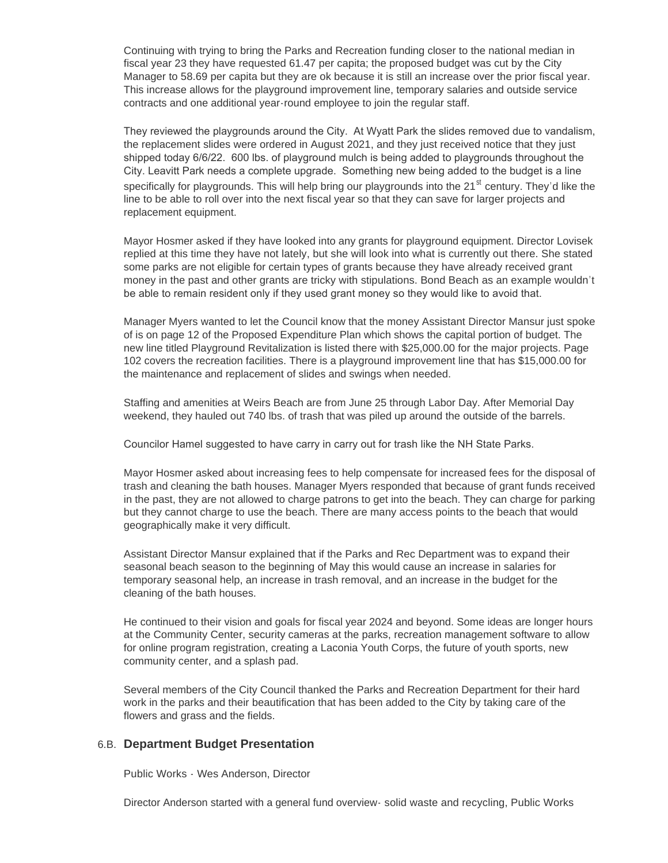Continuing with trying to bring the Parks and Recreation funding closer to the national median in fiscal year 23 they have requested 61.47 per capita; the proposed budget was cut by the City Manager to 58.69 per capita but they are ok because it is still an increase over the prior fiscal year. This increase allows for the playground improvement line, temporary salaries and outside service contracts and one additional year-round employee to join the regular staff.

They reviewed the playgrounds around the City. At Wyatt Park the slides removed due to vandalism, the replacement slides were ordered in August 2021, and they just received notice that they just shipped today 6/6/22. 600 lbs. of playground mulch is being added to playgrounds throughout the City. Leavitt Park needs a complete upgrade. Something new being added to the budget is a line specifically for playgrounds. This will help bring our playgrounds into the 21<sup>st</sup> century. They'd like the line to be able to roll over into the next fiscal year so that they can save for larger projects and replacement equipment.

Mayor Hosmer asked if they have looked into any grants for playground equipment. Director Lovisek replied at this time they have not lately, but she will look into what is currently out there. She stated some parks are not eligible for certain types of grants because they have already received grant money in the past and other grants are tricky with stipulations. Bond Beach as an example wouldn't be able to remain resident only if they used grant money so they would like to avoid that.

Manager Myers wanted to let the Council know that the money Assistant Director Mansur just spoke of is on page 12 of the Proposed Expenditure Plan which shows the capital portion of budget. The new line titled Playground Revitalization is listed there with \$25,000.00 for the major projects. Page 102 covers the recreation facilities. There is a playground improvement line that has \$15,000.00 for the maintenance and replacement of slides and swings when needed.

Staffing and amenities at Weirs Beach are from June 25 through Labor Day. After Memorial Day weekend, they hauled out 740 lbs. of trash that was piled up around the outside of the barrels.

Councilor Hamel suggested to have carry in carry out for trash like the NH State Parks.

Mayor Hosmer asked about increasing fees to help compensate for increased fees for the disposal of trash and cleaning the bath houses. Manager Myers responded that because of grant funds received in the past, they are not allowed to charge patrons to get into the beach. They can charge for parking but they cannot charge to use the beach. There are many access points to the beach that would geographically make it very difficult.

Assistant Director Mansur explained that if the Parks and Rec Department was to expand their seasonal beach season to the beginning of May this would cause an increase in salaries for temporary seasonal help, an increase in trash removal, and an increase in the budget for the cleaning of the bath houses.

He continued to their vision and goals for fiscal year 2024 and beyond. Some ideas are longer hours at the Community Center, security cameras at the parks, recreation management software to allow for online program registration, creating a Laconia Youth Corps, the future of youth sports, new community center, and a splash pad.

Several members of the City Council thanked the Parks and Recreation Department for their hard work in the parks and their beautification that has been added to the City by taking care of the flowers and grass and the fields.

### **Department Budget Presentation** 6.B.

Public Works - Wes Anderson, Director

Director Anderson started with a general fund overview- solid waste and recycling, Public Works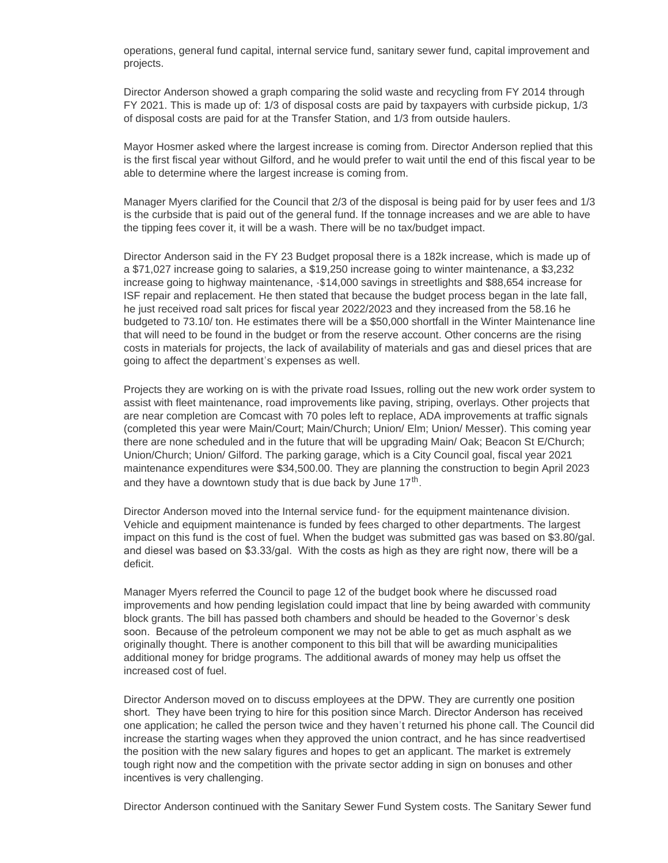operations, general fund capital, internal service fund, sanitary sewer fund, capital improvement and projects.

Director Anderson showed a graph comparing the solid waste and recycling from FY 2014 through FY 2021. This is made up of: 1/3 of disposal costs are paid by taxpayers with curbside pickup, 1/3 of disposal costs are paid for at the Transfer Station, and 1/3 from outside haulers.

Mayor Hosmer asked where the largest increase is coming from. Director Anderson replied that this is the first fiscal year without Gilford, and he would prefer to wait until the end of this fiscal year to be able to determine where the largest increase is coming from.

Manager Myers clarified for the Council that 2/3 of the disposal is being paid for by user fees and 1/3 is the curbside that is paid out of the general fund. If the tonnage increases and we are able to have the tipping fees cover it, it will be a wash. There will be no tax/budget impact.

Director Anderson said in the FY 23 Budget proposal there is a 182k increase, which is made up of a \$71,027 increase going to salaries, a \$19,250 increase going to winter maintenance, a \$3,232 increase going to highway maintenance, -\$14,000 savings in streetlights and \$88,654 increase for ISF repair and replacement. He then stated that because the budget process began in the late fall, he just received road salt prices for fiscal year 2022/2023 and they increased from the 58.16 he budgeted to 73.10/ ton. He estimates there will be a \$50,000 shortfall in the Winter Maintenance line that will need to be found in the budget or from the reserve account. Other concerns are the rising costs in materials for projects, the lack of availability of materials and gas and diesel prices that are going to affect the department's expenses as well.

Projects they are working on is with the private road Issues, rolling out the new work order system to assist with fleet maintenance, road improvements like paving, striping, overlays. Other projects that are near completion are Comcast with 70 poles left to replace, ADA improvements at traffic signals (completed this year were Main/Court; Main/Church; Union/ Elm; Union/ Messer). This coming year there are none scheduled and in the future that will be upgrading Main/ Oak; Beacon St E/Church; Union/Church; Union/ Gilford. The parking garage, which is a City Council goal, fiscal year 2021 maintenance expenditures were \$34,500.00. They are planning the construction to begin April 2023 and they have a downtown study that is due back by June  $17<sup>th</sup>$ .

Director Anderson moved into the Internal service fund- for the equipment maintenance division. Vehicle and equipment maintenance is funded by fees charged to other departments. The largest impact on this fund is the cost of fuel. When the budget was submitted gas was based on \$3.80/gal. and diesel was based on \$3.33/gal. With the costs as high as they are right now, there will be a deficit.

Manager Myers referred the Council to page 12 of the budget book where he discussed road improvements and how pending legislation could impact that line by being awarded with community block grants. The bill has passed both chambers and should be headed to the Governor's desk soon. Because of the petroleum component we may not be able to get as much asphalt as we originally thought. There is another component to this bill that will be awarding municipalities additional money for bridge programs. The additional awards of money may help us offset the increased cost of fuel.

Director Anderson moved on to discuss employees at the DPW. They are currently one position short. They have been trying to hire for this position since March. Director Anderson has received one application; he called the person twice and they haven't returned his phone call. The Council did increase the starting wages when they approved the union contract, and he has since readvertised the position with the new salary figures and hopes to get an applicant. The market is extremely tough right now and the competition with the private sector adding in sign on bonuses and other incentives is very challenging.

Director Anderson continued with the Sanitary Sewer Fund System costs. The Sanitary Sewer fund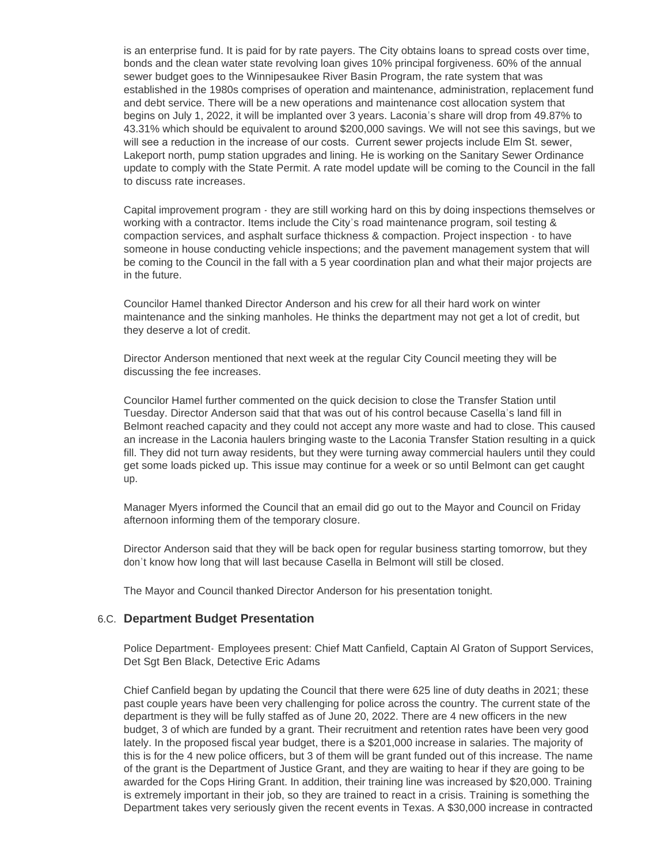is an enterprise fund. It is paid for by rate payers. The City obtains loans to spread costs over time, bonds and the clean water state revolving loan gives 10% principal forgiveness. 60% of the annual sewer budget goes to the Winnipesaukee River Basin Program, the rate system that was established in the 1980s comprises of operation and maintenance, administration, replacement fund and debt service. There will be a new operations and maintenance cost allocation system that begins on July 1, 2022, it will be implanted over 3 years. Laconia's share will drop from 49.87% to 43.31% which should be equivalent to around \$200,000 savings. We will not see this savings, but we will see a reduction in the increase of our costs. Current sewer projects include Elm St. sewer, Lakeport north, pump station upgrades and lining. He is working on the Sanitary Sewer Ordinance update to comply with the State Permit. A rate model update will be coming to the Council in the fall to discuss rate increases.

Capital improvement program - they are still working hard on this by doing inspections themselves or working with a contractor. Items include the City's road maintenance program, soil testing & compaction services, and asphalt surface thickness & compaction. Project inspection - to have someone in house conducting vehicle inspections; and the pavement management system that will be coming to the Council in the fall with a 5 year coordination plan and what their major projects are in the future.

Councilor Hamel thanked Director Anderson and his crew for all their hard work on winter maintenance and the sinking manholes. He thinks the department may not get a lot of credit, but they deserve a lot of credit.

Director Anderson mentioned that next week at the regular City Council meeting they will be discussing the fee increases.

Councilor Hamel further commented on the quick decision to close the Transfer Station until Tuesday. Director Anderson said that that was out of his control because Casella's land fill in Belmont reached capacity and they could not accept any more waste and had to close. This caused an increase in the Laconia haulers bringing waste to the Laconia Transfer Station resulting in a quick fill. They did not turn away residents, but they were turning away commercial haulers until they could get some loads picked up. This issue may continue for a week or so until Belmont can get caught up.

Manager Myers informed the Council that an email did go out to the Mayor and Council on Friday afternoon informing them of the temporary closure.

Director Anderson said that they will be back open for regular business starting tomorrow, but they don't know how long that will last because Casella in Belmont will still be closed.

The Mayor and Council thanked Director Anderson for his presentation tonight.

#### **Department Budget Presentation** 6.C.

Police Department- Employees present: Chief Matt Canfield, Captain Al Graton of Support Services, Det Sgt Ben Black, Detective Eric Adams

Chief Canfield began by updating the Council that there were 625 line of duty deaths in 2021; these past couple years have been very challenging for police across the country. The current state of the department is they will be fully staffed as of June 20, 2022. There are 4 new officers in the new budget, 3 of which are funded by a grant. Their recruitment and retention rates have been very good lately. In the proposed fiscal year budget, there is a \$201,000 increase in salaries. The majority of this is for the 4 new police officers, but 3 of them will be grant funded out of this increase. The name of the grant is the Department of Justice Grant, and they are waiting to hear if they are going to be awarded for the Cops Hiring Grant. In addition, their training line was increased by \$20,000. Training is extremely important in their job, so they are trained to react in a crisis. Training is something the Department takes very seriously given the recent events in Texas. A \$30,000 increase in contracted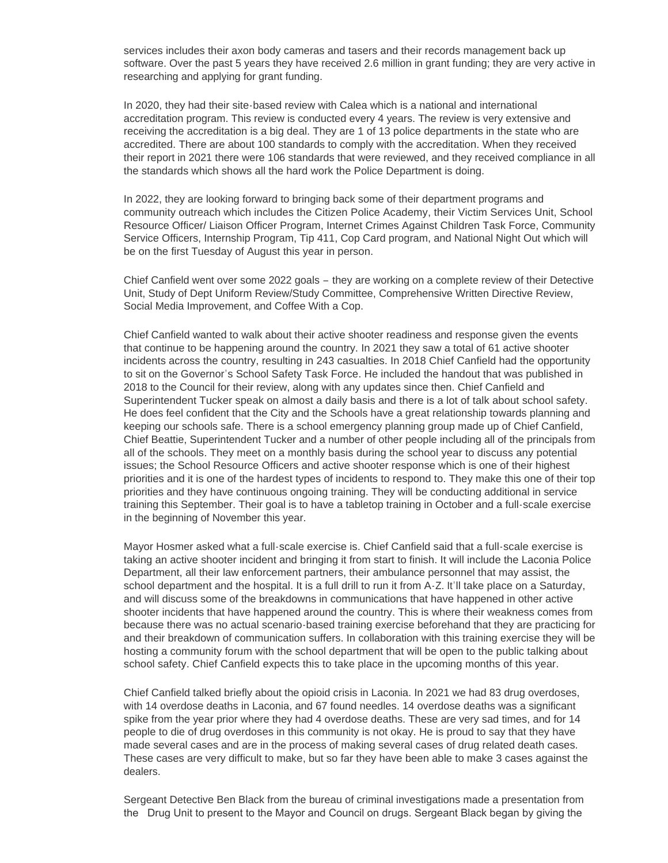services includes their axon body cameras and tasers and their records management back up software. Over the past 5 years they have received 2.6 million in grant funding; they are very active in researching and applying for grant funding.

In 2020, they had their site-based review with Calea which is a national and international accreditation program. This review is conducted every 4 years. The review is very extensive and receiving the accreditation is a big deal. They are 1 of 13 police departments in the state who are accredited. There are about 100 standards to comply with the accreditation. When they received their report in 2021 there were 106 standards that were reviewed, and they received compliance in all the standards which shows all the hard work the Police Department is doing.

In 2022, they are looking forward to bringing back some of their department programs and community outreach which includes the Citizen Police Academy, their Victim Services Unit, School Resource Officer/ Liaison Officer Program, Internet Crimes Against Children Task Force, Community Service Officers, Internship Program, Tip 411, Cop Card program, and National Night Out which will be on the first Tuesday of August this year in person.

Chief Canfield went over some 2022 goals – they are working on a complete review of their Detective Unit, Study of Dept Uniform Review/Study Committee, Comprehensive Written Directive Review, Social Media Improvement, and Coffee With a Cop.

Chief Canfield wanted to walk about their active shooter readiness and response given the events that continue to be happening around the country. In 2021 they saw a total of 61 active shooter incidents across the country, resulting in 243 casualties. In 2018 Chief Canfield had the opportunity to sit on the Governor's School Safety Task Force. He included the handout that was published in 2018 to the Council for their review, along with any updates since then. Chief Canfield and Superintendent Tucker speak on almost a daily basis and there is a lot of talk about school safety. He does feel confident that the City and the Schools have a great relationship towards planning and keeping our schools safe. There is a school emergency planning group made up of Chief Canfield, Chief Beattie, Superintendent Tucker and a number of other people including all of the principals from all of the schools. They meet on a monthly basis during the school year to discuss any potential issues; the School Resource Officers and active shooter response which is one of their highest priorities and it is one of the hardest types of incidents to respond to. They make this one of their top priorities and they have continuous ongoing training. They will be conducting additional in service training this September. Their goal is to have a tabletop training in October and a full-scale exercise in the beginning of November this year.

Mayor Hosmer asked what a full-scale exercise is. Chief Canfield said that a full-scale exercise is taking an active shooter incident and bringing it from start to finish. It will include the Laconia Police Department, all their law enforcement partners, their ambulance personnel that may assist, the school department and the hospital. It is a full drill to run it from A-Z. It'll take place on a Saturday, and will discuss some of the breakdowns in communications that have happened in other active shooter incidents that have happened around the country. This is where their weakness comes from because there was no actual scenario-based training exercise beforehand that they are practicing for and their breakdown of communication suffers. In collaboration with this training exercise they will be hosting a community forum with the school department that will be open to the public talking about school safety. Chief Canfield expects this to take place in the upcoming months of this year.

Chief Canfield talked briefly about the opioid crisis in Laconia. In 2021 we had 83 drug overdoses, with 14 overdose deaths in Laconia, and 67 found needles. 14 overdose deaths was a significant spike from the year prior where they had 4 overdose deaths. These are very sad times, and for 14 people to die of drug overdoses in this community is not okay. He is proud to say that they have made several cases and are in the process of making several cases of drug related death cases. These cases are very difficult to make, but so far they have been able to make 3 cases against the dealers.

Sergeant Detective Ben Black from the bureau of criminal investigations made a presentation from the Drug Unit to present to the Mayor and Council on drugs. Sergeant Black began by giving the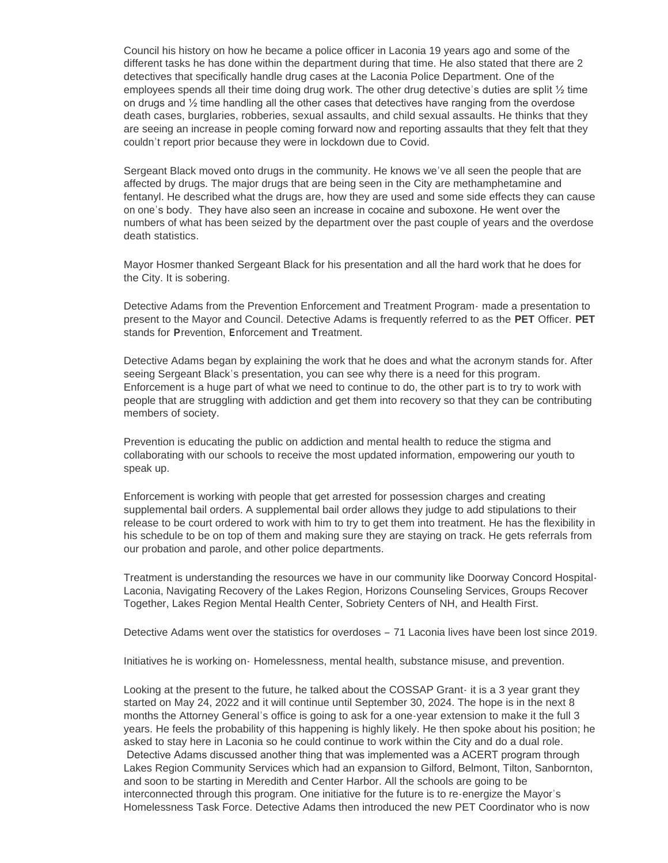Council his history on how he became a police officer in Laconia 19 years ago and some of the different tasks he has done within the department during that time. He also stated that there are 2 detectives that specifically handle drug cases at the Laconia Police Department. One of the employees spends all their time doing drug work. The other drug detective's duties are split ½ time on drugs and ½ time handling all the other cases that detectives have ranging from the overdose death cases, burglaries, robberies, sexual assaults, and child sexual assaults. He thinks that they are seeing an increase in people coming forward now and reporting assaults that they felt that they couldn't report prior because they were in lockdown due to Covid.

Sergeant Black moved onto drugs in the community. He knows we've all seen the people that are affected by drugs. The major drugs that are being seen in the City are methamphetamine and fentanyl. He described what the drugs are, how they are used and some side effects they can cause on one's body. They have also seen an increase in cocaine and suboxone. He went over the numbers of what has been seized by the department over the past couple of years and the overdose death statistics.

Mayor Hosmer thanked Sergeant Black for his presentation and all the hard work that he does for the City. It is sobering.

Detective Adams from the Prevention Enforcement and Treatment Program- made a presentation to present to the Mayor and Council. Detective Adams is frequently referred to as the **PET** Officer. **PET** stands for **P**revention, **E**nforcement and **T**reatment.

Detective Adams began by explaining the work that he does and what the acronym stands for. After seeing Sergeant Black's presentation, you can see why there is a need for this program. Enforcement is a huge part of what we need to continue to do, the other part is to try to work with people that are struggling with addiction and get them into recovery so that they can be contributing members of society.

Prevention is educating the public on addiction and mental health to reduce the stigma and collaborating with our schools to receive the most updated information, empowering our youth to speak up.

Enforcement is working with people that get arrested for possession charges and creating supplemental bail orders. A supplemental bail order allows they judge to add stipulations to their release to be court ordered to work with him to try to get them into treatment. He has the flexibility in his schedule to be on top of them and making sure they are staying on track. He gets referrals from our probation and parole, and other police departments.

Treatment is understanding the resources we have in our community like Doorway Concord Hospital-Laconia, Navigating Recovery of the Lakes Region, Horizons Counseling Services, Groups Recover Together, Lakes Region Mental Health Center, Sobriety Centers of NH, and Health First.

Detective Adams went over the statistics for overdoses – 71 Laconia lives have been lost since 2019.

Initiatives he is working on- Homelessness, mental health, substance misuse, and prevention.

Looking at the present to the future, he talked about the COSSAP Grant- it is a 3 year grant they started on May 24, 2022 and it will continue until September 30, 2024. The hope is in the next 8 months the Attorney General's office is going to ask for a one-year extension to make it the full 3 years. He feels the probability of this happening is highly likely. He then spoke about his position; he asked to stay here in Laconia so he could continue to work within the City and do a dual role. Detective Adams discussed another thing that was implemented was a ACERT program through Lakes Region Community Services which had an expansion to Gilford, Belmont, Tilton, Sanbornton, and soon to be starting in Meredith and Center Harbor. All the schools are going to be interconnected through this program. One initiative for the future is to re-energize the Mayor's Homelessness Task Force. Detective Adams then introduced the new PET Coordinator who is now